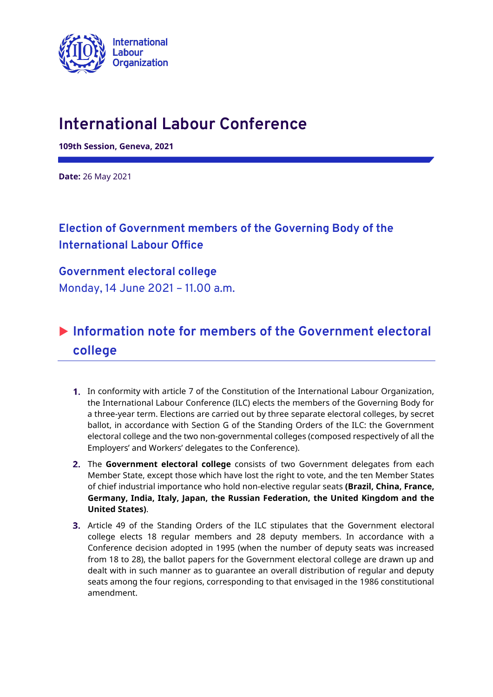

# **International Labour Conference**

**109th Session, Geneva, 2021**

**Date:** 26 May 2021

### **Election of Government members of the Governing Body of the International Labour Office**

### **Government electoral college** Monday, 14 June 2021 – 11.00 a.m.

## **Information note for members of the Government electoral college**

- **1.** In conformity with article 7 of the Constitution of the International Labour Organization, the International Labour Conference (ILC) elects the members of the Governing Body for a three-year term. Elections are carried out by three separate electoral colleges, by secret ballot, in accordance with Section G of the Standing Orders of the ILC: the Government electoral college and the two non-governmental colleges (composed respectively of all the Employers' and Workers' delegates to the Conference).
- 2. The Government electoral college consists of two Government delegates from each Member State, except those which have lost the right to vote, and the ten Member States of chief industrial importance who hold non-elective regular seats **(Brazil, China, France, Germany, India, Italy, Japan, the Russian Federation, the United Kingdom and the United States)**.
- **3.** Article 49 of the Standing Orders of the ILC stipulates that the Government electoral college elects 18 regular members and 28 deputy members. In accordance with a Conference decision adopted in 1995 (when the number of deputy seats was increased from 18 to 28), the ballot papers for the Government electoral college are drawn up and dealt with in such manner as to guarantee an overall distribution of regular and deputy seats among the four regions, corresponding to that envisaged in the 1986 constitutional amendment.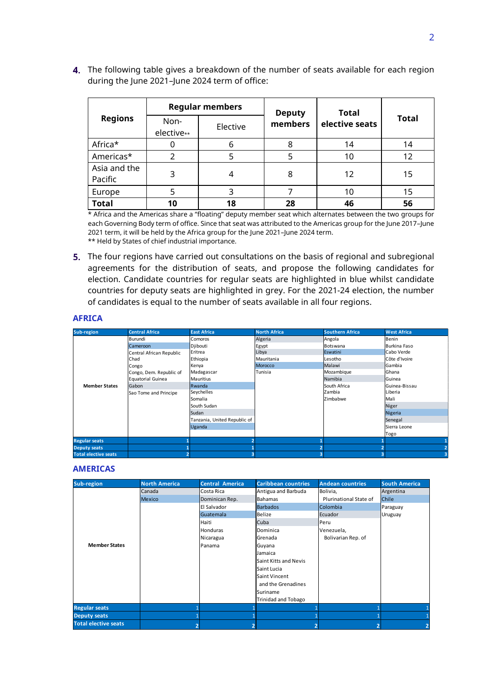4. The following table gives a breakdown of the number of seats available for each region during the June 2021-June 2024 term of office:

| <b>Regions</b>          | <b>Regular members</b> |          | <b>Deputy</b> | <b>Total</b>   |              |
|-------------------------|------------------------|----------|---------------|----------------|--------------|
|                         | Non-<br>elective**     | Elective | members       | elective seats | <b>Total</b> |
| Africa*                 | 0                      | 6        | 8             | 14             | 14           |
| Americas*               | 2                      | 5        | 5             | 10             | 12           |
| Asia and the<br>Pacific | 3                      | 4        | 8             | 12             | 15           |
| Europe                  | 5                      | 3        |               | 10             | 15           |
| <b>Total</b>            | 10                     | 18       | 28            | 46             | 56           |

\* Africa and the Americas share a "floating" deputy member seat which alternates between the two groups for each Governing Body term of office. Since that seat was attributed to the Americas group for the June 2017–June 2021 term, it will be held by the Africa group for the June 2021–June 2024 term. \*\* Held by States of chief industrial importance.

**5.** The four regions have carried out consultations on the basis of regional and subregional agreements for the distribution of seats, and propose the following candidates for election. Candidate countries for regular seats are highlighted in blue whilst candidate countries for deputy seats are highlighted in grey. For the 2021-24 election, the number of candidates is equal to the number of seats available in all four regions.

#### **AFRICA**

| Sub-region                  | <b>Central Africa</b>    | <b>East Africa</b>           | <b>North Africa</b>     | <b>Southern Africa</b>  | <b>West Africa</b> |
|-----------------------------|--------------------------|------------------------------|-------------------------|-------------------------|--------------------|
|                             | Burundi                  | Comoros                      | Algeria                 | Angola                  | Benin              |
|                             | Cameroon                 | Djibouti                     | Egypt                   | Botswana                | Burkina Faso       |
|                             | Central African Republic | Eritrea                      | Libya                   | Eswatini                | Cabo Verde         |
|                             | Chad                     | Ethiopia                     | Mauritania              | Lesotho                 | Côte d'Ivoire      |
|                             | Congo                    | Kenya                        | <b>Morocco</b>          | Malawi                  | Gambia             |
|                             | Congo, Dem. Republic of  | Madagascar                   | Tunisia                 | Mozambique              | Ghana              |
|                             | Equatorial Guinea        | <b>Mauritius</b>             |                         | Namibia                 | Guinea             |
| <b>Member States</b>        | Gabon                    | Rwanda                       |                         | South Africa            | Guinea-Bissau      |
|                             | Sao Tome and Principe    | Seychelles                   |                         | Zambia                  | Liberia            |
|                             |                          | Somalia                      |                         | Zimbabwe                | Mali               |
|                             |                          | South Sudan                  |                         |                         | Niger              |
|                             |                          | Sudan                        |                         |                         | Nigeria            |
|                             |                          | Tanzania, United Republic of |                         |                         | Senegal            |
|                             |                          | Uganda                       |                         |                         | Sierra Leone       |
|                             |                          |                              |                         |                         | Togo               |
| <b>Regular seats</b>        |                          | $\overline{2}$               |                         |                         |                    |
| <b>Deputy seats</b>         |                          |                              |                         | $\overline{\mathbf{c}}$ |                    |
| <b>Total elective seats</b> |                          | 3                            | $\overline{\mathbf{3}}$ | 3                       |                    |

#### **AMERICAS**

| Sub-region                  | <b>North America</b> | <b>Central America</b> | <b>Caribbean countries</b> | <b>Andean countries</b> | <b>South America</b> |
|-----------------------------|----------------------|------------------------|----------------------------|-------------------------|----------------------|
|                             | Canada               | Costa Rica             | Antigua and Barbuda        | Bolivia,                | Argentina            |
|                             | <b>Mexico</b>        | Dominican Rep.         | <b>Bahamas</b>             | Plurinational State of  | Chile                |
|                             |                      | El Salvador            | <b>Barbados</b>            | Colombia                | Paraguay             |
|                             |                      | Guatemala              | Belize                     | Ecuador                 | Uruguay              |
|                             |                      | Haiti                  | Cuba                       | Peru                    |                      |
|                             |                      | Honduras               | Dominica                   | Venezuela,              |                      |
|                             |                      | Nicaragua              | Grenada                    | Bolivarian Rep. of      |                      |
| <b>Member States</b>        |                      | Panama                 | Guyana                     |                         |                      |
|                             |                      |                        | Jamaica                    |                         |                      |
|                             |                      |                        | Saint Kitts and Nevis      |                         |                      |
|                             |                      |                        | Saint Lucia                |                         |                      |
|                             |                      |                        | Saint Vincent              |                         |                      |
|                             |                      |                        | and the Grenadines         |                         |                      |
|                             |                      |                        | Suriname                   |                         |                      |
|                             |                      |                        | Trinidad and Tobago        |                         |                      |
| <b>Regular seats</b>        |                      |                        |                            |                         |                      |
| <b>Deputy seats</b>         |                      |                        |                            |                         |                      |
| <b>Total elective seats</b> |                      |                        |                            |                         |                      |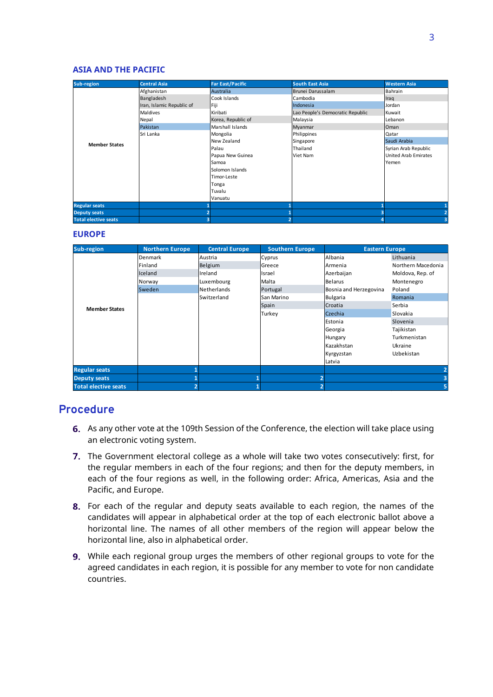#### **ASIA AND THE PACIFIC**

| Sub-region                  | <b>Central Asia</b>       | <b>Far East/Pacific</b> | <b>South East Asia</b>           | <b>Western Asia</b>         |
|-----------------------------|---------------------------|-------------------------|----------------------------------|-----------------------------|
|                             | Afghanistan               | Australia               | Brunei Darussalam                | Bahrain                     |
|                             | Bangladesh                | Cook Islands            | Cambodia                         | Iraq                        |
|                             | Iran, Islamic Republic of | Fiji                    | Indonesia                        | Jordan                      |
|                             | <b>Maldives</b>           | Kiribati                | Lao People's Democratic Republic | Kuwait                      |
|                             | Nepal                     | Korea, Republic of      | Malaysia                         | Lebanon                     |
|                             | Pakistan                  | Marshall Islands        | Myanmar                          | Oman                        |
|                             | Sri Lanka                 | Mongolia                | Philippines                      | Qatar                       |
| <b>Member States</b>        |                           | New Zealand             | Singapore                        | Saudi Arabia                |
|                             |                           | Palau                   | Thailand                         | Syrian Arab Republic        |
|                             |                           | Papua New Guinea        | Viet Nam                         | <b>United Arab Emirates</b> |
|                             |                           | Samoa                   |                                  | Yemen                       |
|                             |                           | Solomon Islands         |                                  |                             |
|                             |                           | Timor-Leste             |                                  |                             |
|                             |                           | Tonga                   |                                  |                             |
|                             |                           | Tuvalu                  |                                  |                             |
|                             |                           | Vanuatu                 |                                  |                             |
| <b>Regular seats</b>        |                           |                         |                                  |                             |
| <b>Deputy seats</b>         |                           |                         |                                  |                             |
| <b>Total elective seats</b> |                           |                         |                                  |                             |

#### **EUROPE**

| <b>Sub-region</b>           | <b>Northern Europe</b> | <b>Central Europe</b> | <b>Southern Europe</b> | <b>Eastern Europe</b>  |                    |
|-----------------------------|------------------------|-----------------------|------------------------|------------------------|--------------------|
|                             | Denmark                | Austria               | Cyprus                 | Albania                | Lithuania          |
|                             | Finland                | Belgium               | Greece                 | Armenia                | Northern Macedonia |
|                             | Iceland                | Ireland               | Israel                 | Azerbaijan             | Moldova, Rep. of   |
|                             | Norway                 | Luxembourg            | Malta                  | <b>Belarus</b>         | Montenegro         |
|                             | Sweden                 | Netherlands           | Portugal               | Bosnia and Herzegovina | Poland             |
|                             |                        | Switzerland           | San Marino             | <b>Bulgaria</b>        | Romania            |
| <b>Member States</b>        |                        |                       | Spain                  | Croatia                | Serbia             |
|                             |                        |                       | Turkey                 | Czechia                | Slovakia           |
|                             |                        |                       |                        | Estonia                | Slovenia           |
|                             |                        |                       |                        | Georgia                | Tajikistan         |
|                             |                        |                       |                        | Hungary                | Turkmenistan       |
|                             |                        |                       |                        | Kazakhstan             | Ukraine            |
|                             |                        |                       |                        | Kyrgyzstan             | Uzbekistan         |
|                             |                        |                       |                        | Latvia                 |                    |
| <b>Regular seats</b>        |                        |                       |                        |                        |                    |
| <b>Deputy seats</b>         |                        |                       | п                      |                        |                    |
| <b>Total elective seats</b> |                        |                       |                        |                        |                    |

#### **Procedure**

- 6. As any other vote at the 109th Session of the Conference, the election will take place using an electronic voting system.
- 7. The Government electoral college as a whole will take two votes consecutively: first, for the regular members in each of the four regions; and then for the deputy members, in each of the four regions as well, in the following order: Africa, Americas, Asia and the Pacific, and Europe.
- 8. For each of the regular and deputy seats available to each region, the names of the candidates will appear in alphabetical order at the top of each electronic ballot above a horizontal line. The names of all other members of the region will appear below the horizontal line, also in alphabetical order.
- 9. While each regional group urges the members of other regional groups to vote for the agreed candidates in each region, it is possible for any member to vote for non candidate countries.